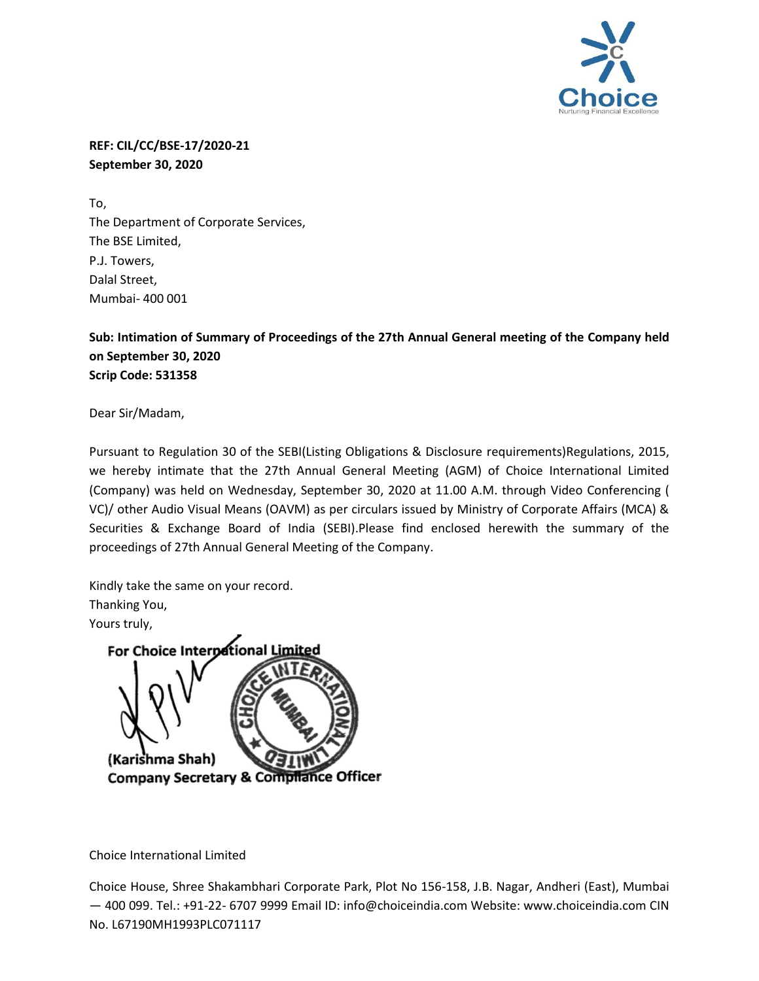

**REF: CIL/CC/BSE-17/2020-21 September 30, 2020**

To, The Department of Corporate Services, The BSE Limited, P.J. Towers, Dalal Street, Mumbai- 400 001

**Sub: Intimation of Summary of Proceedings of the 27th Annual General meeting of the Company held on September 30, 2020 Scrip Code: 531358**

Dear Sir/Madam,

Pursuant to Regulation 30 of the SEBI(Listing Obligations & Disclosure requirements)Regulations, 2015, we hereby intimate that the 27th Annual General Meeting (AGM) of Choice International Limited (Company) was held on Wednesday, September 30, 2020 at 11.00 A.M. through Video Conferencing ( VC)/ other Audio Visual Means (OAVM) as per circulars issued by Ministry of Corporate Affairs (MCA) & Securities & Exchange Board of India (SEBI).Please find enclosed herewith the summary of the proceedings of 27th Annual General Meeting of the Company.

Kindly take the same on your record. Thanking You, Yours truly,



Choice International Limited

Choice House, Shree Shakambhari Corporate Park, Plot No 156-158, J.B. Nagar, Andheri (East), Mumbai — 400 099. Tel.: +91-22- 6707 9999 Email ID: info@choiceindia.com Website: www.choiceindia.com CIN No. L67190MH1993PLC071117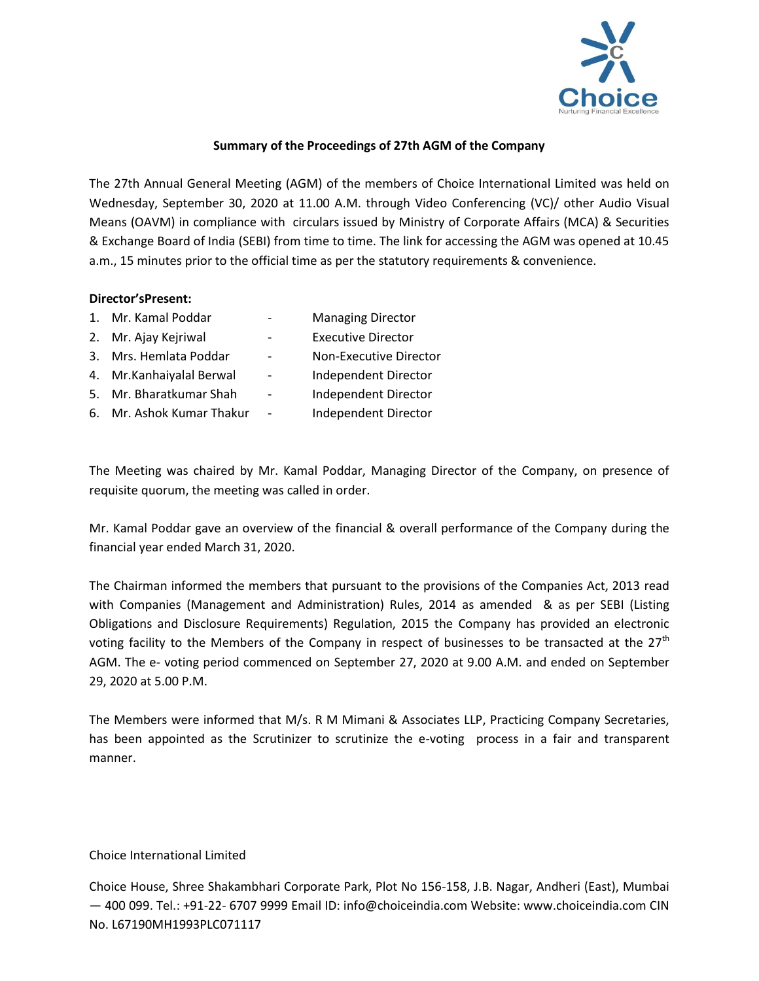

## **Summary of the Proceedings of 27th AGM of the Company**

The 27th Annual General Meeting (AGM) of the members of Choice International Limited was held on Wednesday, September 30, 2020 at 11.00 A.M. through Video Conferencing (VC)/ other Audio Visual Means (OAVM) in compliance with circulars issued by Ministry of Corporate Affairs (MCA) & Securities & Exchange Board of India (SEBI) from time to time. The link for accessing the AGM was opened at 10.45 a.m., 15 minutes prior to the official time as per the statutory requirements & convenience.

## **Director'sPresent:**

| 1. Mr. Kamal Poddar       |                          | <b>Managing Director</b>  |
|---------------------------|--------------------------|---------------------------|
| 2. Mr. Ajay Kejriwal      |                          | <b>Executive Director</b> |
| 3. Mrs. Hemlata Poddar    |                          | Non-Executive Director    |
| 4. Mr. Kanhaiyalal Berwal | $\overline{\phantom{a}}$ | Independent Director      |
| 5. Mr. Bharatkumar Shah   | $\overline{\phantom{0}}$ | Independent Director      |
| 6. Mr. Ashok Kumar Thakur | -                        | Independent Director      |

The Meeting was chaired by Mr. Kamal Poddar, Managing Director of the Company, on presence of requisite quorum, the meeting was called in order.

Mr. Kamal Poddar gave an overview of the financial & overall performance of the Company during the financial year ended March 31, 2020.

The Chairman informed the members that pursuant to the provisions of the Companies Act, 2013 read with Companies (Management and Administration) Rules, 2014 as amended & as per SEBI (Listing Obligations and Disclosure Requirements) Regulation, 2015 the Company has provided an electronic voting facility to the Members of the Company in respect of businesses to be transacted at the  $27<sup>th</sup>$ AGM. The e- voting period commenced on September 27, 2020 at 9.00 A.M. and ended on September 29, 2020 at 5.00 P.M.

The Members were informed that M/s. R M Mimani & Associates LLP, Practicing Company Secretaries, has been appointed as the Scrutinizer to scrutinize the e-voting process in a fair and transparent manner.

## Choice International Limited

Choice House, Shree Shakambhari Corporate Park, Plot No 156-158, J.B. Nagar, Andheri (East), Mumbai — 400 099. Tel.: +91-22- 6707 9999 Email ID: info@choiceindia.com Website: www.choiceindia.com CIN No. L67190MH1993PLC071117